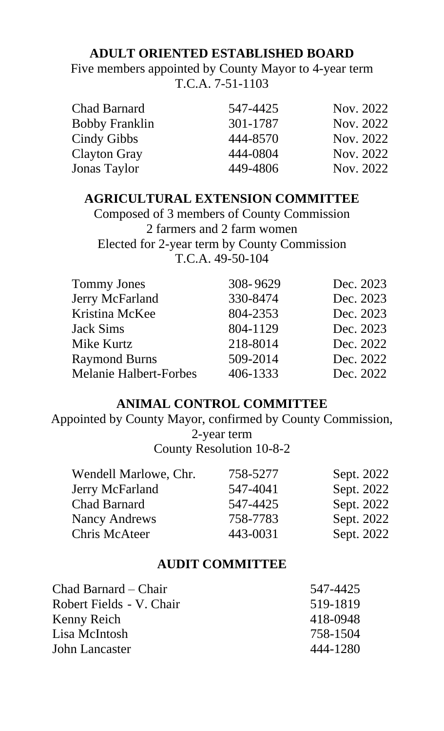### **ADULT ORIENTED ESTABLISHED BOARD**

Five members appointed by County Mayor to 4-year term T.C.A. 7-51-1103

| <b>Chad Barnard</b>   | 547-4425 | Nov. 2022 |
|-----------------------|----------|-----------|
| <b>Bobby Franklin</b> | 301-1787 | Nov. 2022 |
| Cindy Gibbs           | 444-8570 | Nov. 2022 |
| <b>Clayton Gray</b>   | 444-0804 | Nov. 2022 |
| <b>Jonas Taylor</b>   | 449-4806 | Nov. 2022 |

#### **AGRICULTURAL EXTENSION COMMITTEE**

Composed of 3 members of County Commission 2 farmers and 2 farm women Elected for 2-year term by County Commission T.C.A. 49-50-104

| <b>Tommy Jones</b>            | 308-9629 | Dec. 2023 |
|-------------------------------|----------|-----------|
| Jerry McFarland               | 330-8474 | Dec. 2023 |
| Kristina McKee                | 804-2353 | Dec. 2023 |
| <b>Jack Sims</b>              | 804-1129 | Dec. 2023 |
| Mike Kurtz                    | 218-8014 | Dec. 2022 |
| <b>Raymond Burns</b>          | 509-2014 | Dec. 2022 |
| <b>Melanie Halbert-Forbes</b> | 406-1333 | Dec. 2022 |

### **ANIMAL CONTROL COMMITTEE**

Appointed by County Mayor, confirmed by County Commission, 2-year term

County Resolution 10-8-2

| Wendell Marlowe, Chr. | 758-5277 | Sept. 2022 |
|-----------------------|----------|------------|
| Jerry McFarland       | 547-4041 | Sept. 2022 |
| <b>Chad Barnard</b>   | 547-4425 | Sept. 2022 |
| <b>Nancy Andrews</b>  | 758-7783 | Sept. 2022 |
| Chris McAteer         | 443-0031 | Sept. 2022 |

#### **AUDIT COMMITTEE**

| Chad Barnard – Chair     | 547-4425 |
|--------------------------|----------|
| Robert Fields - V. Chair | 519-1819 |
| Kenny Reich              | 418-0948 |
| Lisa McIntosh            | 758-1504 |
| John Lancaster           | 444-1280 |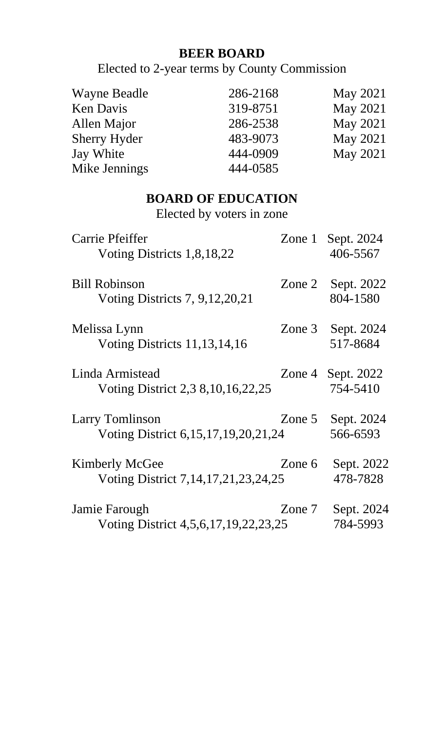# **BEER BOARD**

Elected to 2-year terms by County Commission

| <b>Wayne Beadle</b> | 286-2168 | <b>May 2021</b> |
|---------------------|----------|-----------------|
| <b>Ken Davis</b>    | 319-8751 | <b>May 2021</b> |
| Allen Major         | 286-2538 | <b>May 2021</b> |
| <b>Sherry Hyder</b> | 483-9073 | <b>May 2021</b> |
| Jay White           | 444-0909 | <b>May 2021</b> |
| Mike Jennings       | 444-0585 |                 |

# **BOARD OF EDUCATION**

Elected by voters in zone

| Carrie Pfeiffer                           |          | Zone 1 Sept. 2024   |
|-------------------------------------------|----------|---------------------|
| Voting Districts 1,8,18,22                |          | 406-5567            |
| <b>Bill Robinson</b>                      |          | Zone 2 Sept. 2022   |
| Voting Districts 7, 9, 12, 20, 21         |          | 804-1580            |
| Melissa Lynn                              | Zone $3$ | Sept. 2024          |
| Voting Districts 11, 13, 14, 16           |          | 517-8684            |
| Linda Armistead                           |          | Zone 4 Sept. $2022$ |
| Voting District 2,3 8, 10, 16, 22, 25     |          | 754-5410            |
| <b>Larry Tomlinson</b>                    |          | Zone $5$ Sept. 2024 |
| Voting District 6, 15, 17, 19, 20, 21, 24 |          | 566-6593            |
| <b>Kimberly McGee</b>                     | Zone 6   | Sept. 2022          |
| Voting District 7, 14, 17, 21, 23, 24, 25 |          | 478-7828            |
| Jamie Farough                             | Zone 7   | Sept. 2024          |
| Voting District 4,5,6,17,19,22,23,25      |          | 784-5993            |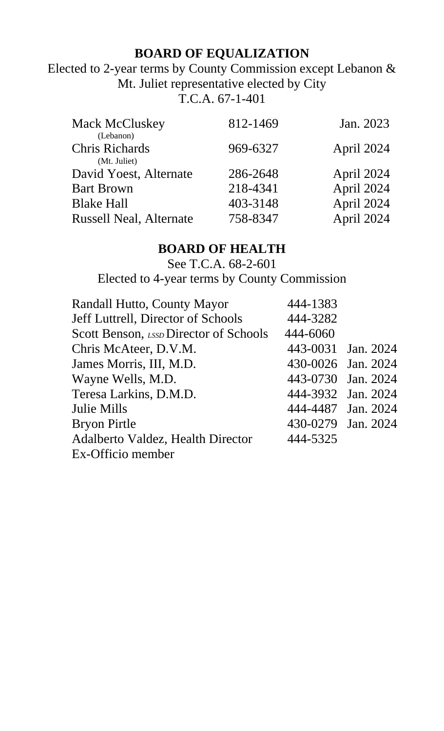# **BOARD OF EQUALIZATION**

Elected to 2-year terms by County Commission except Lebanon & Mt. Juliet representative elected by City

T.C.A. 67-1-401

| 812-1469 | Jan. 2023  |
|----------|------------|
| 969-6327 | April 2024 |
| 286-2648 | April 2024 |
|          | April 2024 |
| 403-3148 | April 2024 |
| 758-8347 | April 2024 |
|          | 218-4341   |

# **BOARD OF HEALTH**

See T.C.A. 68-2-601 Elected to 4-year terms by County Commission

| Randall Hutto, County Mayor              | 444-1383           |  |
|------------------------------------------|--------------------|--|
| Jeff Luttrell, Director of Schools       | 444-3282           |  |
| Scott Benson, LSSD Director of Schools   | 444-6060           |  |
| Chris McAteer, D.V.M.                    | 443-0031 Jan. 2024 |  |
| James Morris, III, M.D.                  | 430-0026 Jan. 2024 |  |
| Wayne Wells, M.D.                        | 443-0730 Jan. 2024 |  |
| Teresa Larkins, D.M.D.                   | 444-3932 Jan. 2024 |  |
| <b>Julie Mills</b>                       | 444-4487 Jan. 2024 |  |
| <b>Bryon Pirtle</b>                      | 430-0279 Jan. 2024 |  |
| <b>Adalberto Valdez, Health Director</b> | 444-5325           |  |
| Ex-Officio member                        |                    |  |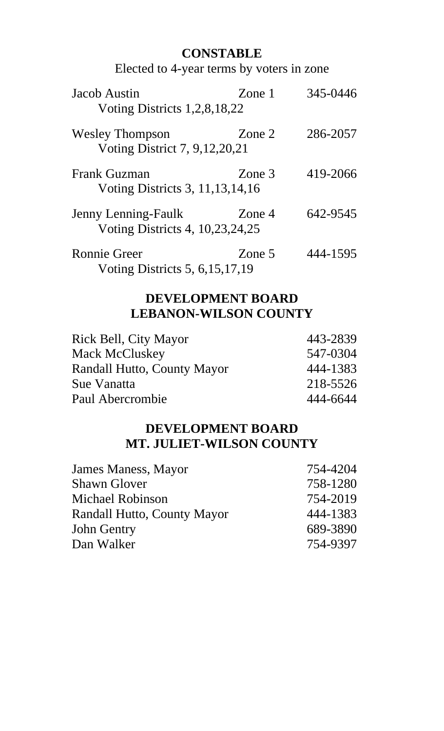# **CONSTABLE**

Elected to 4-year terms by voters in zone

| Jacob Austin<br>Voting Districts 1,2,8,18,22                  | Zone 1 | 345-0446 |
|---------------------------------------------------------------|--------|----------|
| <b>Wesley Thompson</b><br>Voting District 7, 9,12,20,21       | Zone 2 | 286-2057 |
| <b>Frank Guzman</b><br>Voting Districts 3, 11, 13, 14, 16     | Zone 3 | 419-2066 |
| <b>Jenny Lenning-Faulk</b><br>Voting Districts 4, 10,23,24,25 | Zone 4 | 642-9545 |
| Ronnie Greer<br>Voting Districts 5, 6, 15, 17, 19             | Zone 5 | 444-1595 |

## **DEVELOPMENT BOARD LEBANON-WILSON COUNTY**

| Rick Bell, City Mayor       | 443-2839 |
|-----------------------------|----------|
| <b>Mack McCluskey</b>       | 547-0304 |
| Randall Hutto, County Mayor | 444-1383 |
| Sue Vanatta                 | 218-5526 |
| Paul Abercrombie            | 444-6644 |

## **DEVELOPMENT BOARD MT. JULIET-WILSON COUNTY**

| James Maness, Mayor         | 754-4204 |
|-----------------------------|----------|
| <b>Shawn Glover</b>         | 758-1280 |
| <b>Michael Robinson</b>     | 754-2019 |
| Randall Hutto, County Mayor | 444-1383 |
| <b>John Gentry</b>          | 689-3890 |
| Dan Walker                  | 754-9397 |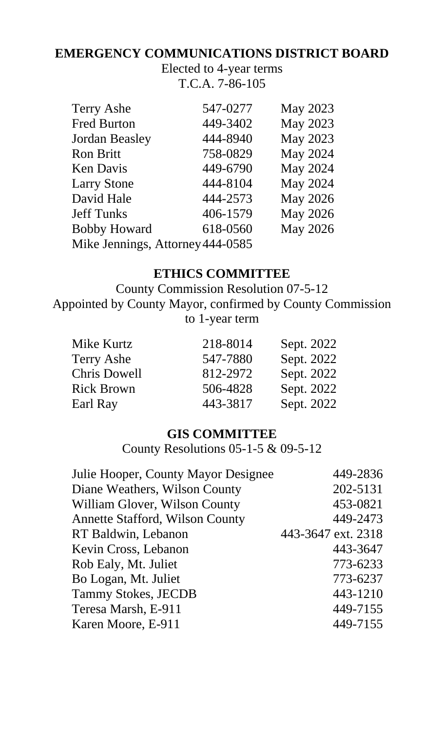# **EMERGENCY COMMUNICATIONS DISTRICT BOARD**

Elected to 4-year terms T.C.A. 7-86-105

| <b>Terry Ashe</b>                | 547-0277 | <b>May 2023</b> |
|----------------------------------|----------|-----------------|
| <b>Fred Burton</b>               | 449-3402 | <b>May 2023</b> |
| <b>Jordan Beasley</b>            | 444-8940 | <b>May 2023</b> |
| <b>Ron Britt</b>                 | 758-0829 | <b>May 2024</b> |
| <b>Ken Davis</b>                 | 449-6790 | <b>May 2024</b> |
| <b>Larry Stone</b>               | 444-8104 | <b>May 2024</b> |
| David Hale                       | 444-2573 | <b>May 2026</b> |
| <b>Jeff Tunks</b>                | 406-1579 | <b>May 2026</b> |
| <b>Bobby Howard</b>              | 618-0560 | <b>May 2026</b> |
| Mike Jennings, Attorney 444-0585 |          |                 |
|                                  |          |                 |

### **ETHICS COMMITTEE**

County Commission Resolution 07-5-12 Appointed by County Mayor, confirmed by County Commission to 1-year term

| Mike Kurtz          | 218-8014 | Sept. 2022 |
|---------------------|----------|------------|
| <b>Terry Ashe</b>   | 547-7880 | Sept. 2022 |
| <b>Chris Dowell</b> | 812-2972 | Sept. 2022 |
| <b>Rick Brown</b>   | 506-4828 | Sept. 2022 |
| Earl Ray            | 443-3817 | Sept. 2022 |

### **GIS COMMITTEE**

County Resolutions 05-1-5 & 09-5-12

| 449-2836           |
|--------------------|
| 202-5131           |
| 453-0821           |
| 449-2473           |
| 443-3647 ext. 2318 |
| 443-3647           |
| 773-6233           |
| 773-6237           |
| 443-1210           |
| 449-7155           |
| 449-7155           |
|                    |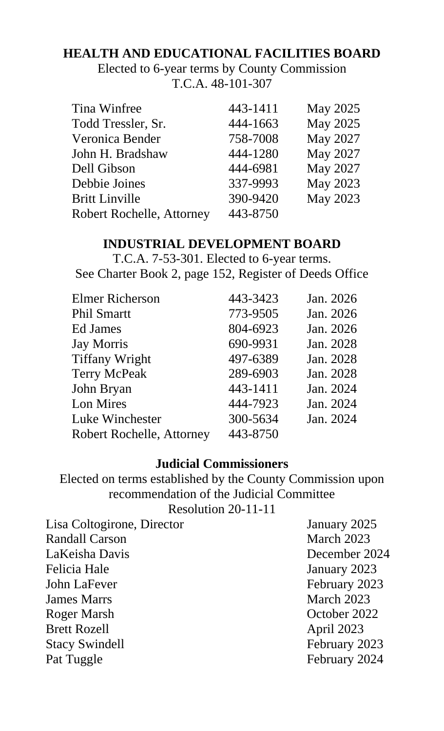# **HEALTH AND EDUCATIONAL FACILITIES BOARD**

Elected to 6-year terms by County Commission T.C.A. 48-101-307

| Tina Winfree                     | 443-1411 | <b>May 2025</b> |
|----------------------------------|----------|-----------------|
| Todd Tressler, Sr.               | 444-1663 | <b>May 2025</b> |
| Veronica Bender                  | 758-7008 | <b>May 2027</b> |
| John H. Bradshaw                 | 444-1280 | May 2027        |
| Dell Gibson                      | 444-6981 | <b>May 2027</b> |
| Debbie Joines                    | 337-9993 | May 2023        |
| <b>Britt Linville</b>            | 390-9420 | <b>May 2023</b> |
| <b>Robert Rochelle, Attorney</b> | 443-8750 |                 |

# **INDUSTRIAL DEVELOPMENT BOARD**

T.C.A. 7-53-301. Elected to 6-year terms. See Charter Book 2, page 152, Register of Deeds Office

| <b>Elmer Richerson</b>           | 443-3423 | Jan. 2026 |
|----------------------------------|----------|-----------|
| <b>Phil Smartt</b>               | 773-9505 | Jan. 2026 |
| Ed James                         | 804-6923 | Jan. 2026 |
| <b>Jay Morris</b>                | 690-9931 | Jan. 2028 |
| <b>Tiffany Wright</b>            | 497-6389 | Jan. 2028 |
| <b>Terry McPeak</b>              | 289-6903 | Jan. 2028 |
| John Bryan                       | 443-1411 | Jan. 2024 |
| Lon Mires                        | 444-7923 | Jan. 2024 |
| Luke Winchester                  | 300-5634 | Jan. 2024 |
| <b>Robert Rochelle, Attorney</b> | 443-8750 |           |

#### **Judicial Commissioners**

Elected on terms established by the County Commission upon recommendation of the Judicial Committee Resolution 20-11-11

| Lisa Coltogirone, Director | January 2025  |
|----------------------------|---------------|
| <b>Randall Carson</b>      | March 2023    |
| LaKeisha Davis             | December 2024 |
| <b>Felicia Hale</b>        | January 2023  |
| John LaFever               | February 2023 |
| <b>James Marrs</b>         | March 2023    |
| Roger Marsh                | October 2022  |
| <b>Brett Rozell</b>        | April 2023    |
| <b>Stacy Swindell</b>      | February 2023 |
| Pat Tuggle                 | February 2024 |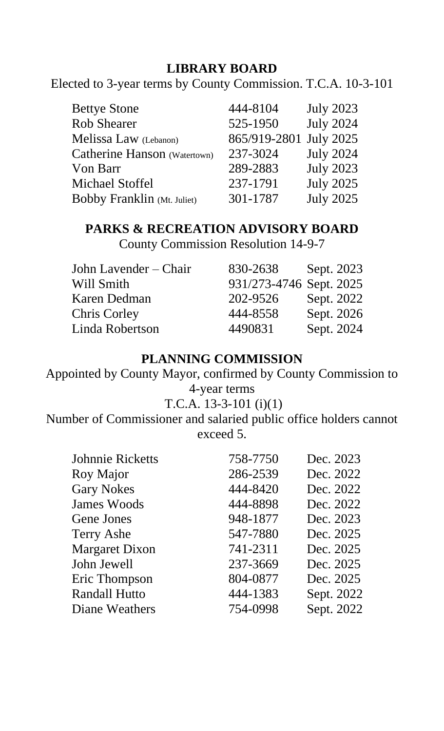# **LIBRARY BOARD**

Elected to 3-year terms by County Commission. T.C.A. 10-3-101

| <b>Bettye Stone</b>                | 444-8104     | <b>July 2023</b> |
|------------------------------------|--------------|------------------|
| <b>Rob Shearer</b>                 | 525-1950     | <b>July 2024</b> |
| Melissa Law (Lebanon)              | 865/919-2801 | <b>July 2025</b> |
| Catherine Hanson (Watertown)       | 237-3024     | <b>July 2024</b> |
| Von Barr                           | 289-2883     | <b>July 2023</b> |
| <b>Michael Stoffel</b>             | 237-1791     | <b>July 2025</b> |
| <b>Bobby Franklin</b> (Mt. Juliet) | 301-1787     | <b>July 2025</b> |

# **PARKS & RECREATION ADVISORY BOARD**

County Commission Resolution 14-9-7

| John Lavender – Chair | 830-2638                | Sept. 2023 |
|-----------------------|-------------------------|------------|
| Will Smith            | 931/273-4746 Sept. 2025 |            |
| Karen Dedman          | 202-9526                | Sept. 2022 |
| <b>Chris Corley</b>   | 444-8558                | Sept. 2026 |
| Linda Robertson       | 4490831                 | Sept. 2024 |

## **PLANNING COMMISSION**

Appointed by County Mayor, confirmed by County Commission to 4-year terms

### T.C.A. 13-3-101 (i)(1)

Number of Commissioner and salaried public office holders cannot exceed 5.

| <b>Johnnie Ricketts</b> | 758-7750 | Dec. 2023  |
|-------------------------|----------|------------|
| Roy Major               | 286-2539 | Dec. 2022  |
| <b>Gary Nokes</b>       | 444-8420 | Dec. 2022  |
| <b>James Woods</b>      | 444-8898 | Dec. 2022  |
| Gene Jones              | 948-1877 | Dec. 2023  |
| <b>Terry Ashe</b>       | 547-7880 | Dec. 2025  |
| <b>Margaret Dixon</b>   | 741-2311 | Dec. 2025  |
| John Jewell             | 237-3669 | Dec. 2025  |
| Eric Thompson           | 804-0877 | Dec. 2025  |
| <b>Randall Hutto</b>    | 444-1383 | Sept. 2022 |
| Diane Weathers          | 754-0998 | Sept. 2022 |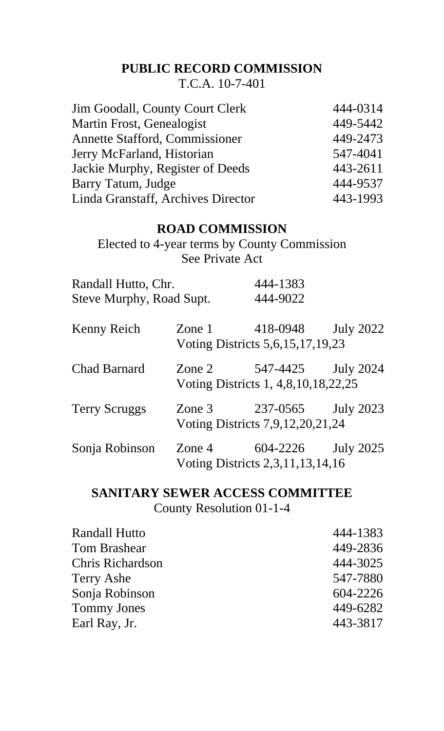## **PUBLIC RECORD COMMISSION**

T.C.A. 10-7-401

| <b>Jim Goodall, County Court Clerk</b> | 444-0314 |
|----------------------------------------|----------|
| Martin Frost, Genealogist              | 449-5442 |
| <b>Annette Stafford, Commissioner</b>  | 449-2473 |
| Jerry McFarland, Historian             | 547-4041 |
| Jackie Murphy, Register of Deeds       | 443-2611 |
| Barry Tatum, Judge                     | 444-9537 |
| Linda Granstaff, Archives Director     | 443-1993 |

#### **ROAD COMMISSION**

Elected to 4-year terms by County Commission See Private Act

| Randall Hutto, Chr.      | 444-1383 |
|--------------------------|----------|
| Steve Murphy, Road Supt. | 444-9022 |

| Kenny Reich          |          | Zone 1 418-0948                                     | <b>July 2022</b> |
|----------------------|----------|-----------------------------------------------------|------------------|
|                      |          | Voting Districts 5, 6, 15, 17, 19, 23               |                  |
| <b>Chad Barnard</b>  | Zone $2$ | 547-4425<br>Voting Districts 1, 4,8, 10, 18, 22, 25 | <b>July 2024</b> |
| <b>Terry Scruggs</b> |          | Zone 3 237-0565<br>Voting Districts 7,9,12,20,21,24 | <b>July 2023</b> |
| Sonja Robinson       | Zone $4$ | 604-2226<br>Voting Districts 2,3,11,13,14,16        | <b>July 2025</b> |

### **SANITARY SEWER ACCESS COMMITTEE** County Resolution 01-1-4

Randall Hutto 444-1383 Tom Brashear 449-2836 Chris Richardson 444-3025 Terry Ashe 547-7880 Sonja Robinson 604-2226 Tommy Jones 449-6282 Earl Ray, Jr. 443-3817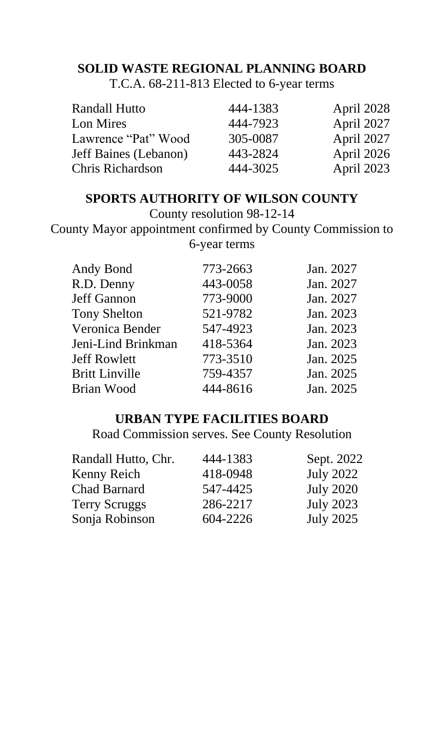# **SOLID WASTE REGIONAL PLANNING BOARD**

T.C.A. 68-211-813 Elected to 6-year terms

| <b>Randall Hutto</b>         | 444-1383 | April 2028        |
|------------------------------|----------|-------------------|
| Lon Mires                    | 444-7923 | April 2027        |
| Lawrence "Pat" Wood          | 305-0087 | April 2027        |
| <b>Jeff Baines (Lebanon)</b> | 443-2824 | April 2026        |
| <b>Chris Richardson</b>      | 444-3025 | <b>April 2023</b> |

# **SPORTS AUTHORITY OF WILSON COUNTY**

County resolution 98-12-14

County Mayor appointment confirmed by County Commission to 6-year terms

| Andy Bond             | 773-2663 | Jan. 2027 |
|-----------------------|----------|-----------|
| R.D. Denny            | 443-0058 | Jan. 2027 |
| <b>Jeff Gannon</b>    | 773-9000 | Jan. 2027 |
| <b>Tony Shelton</b>   | 521-9782 | Jan. 2023 |
| Veronica Bender       | 547-4923 | Jan. 2023 |
| Jeni-Lind Brinkman    | 418-5364 | Jan. 2023 |
| <b>Jeff Rowlett</b>   | 773-3510 | Jan. 2025 |
| <b>Britt Linville</b> | 759-4357 | Jan. 2025 |
| <b>Brian Wood</b>     | 444-8616 | Jan. 2025 |
|                       |          |           |

## **URBAN TYPE FACILITIES BOARD**

Road Commission serves. See County Resolution

| 444-1383 | Sept. 2022       |
|----------|------------------|
| 418-0948 | <b>July 2022</b> |
| 547-4425 | <b>July 2020</b> |
| 286-2217 | <b>July 2023</b> |
| 604-2226 | <b>July 2025</b> |
|          |                  |